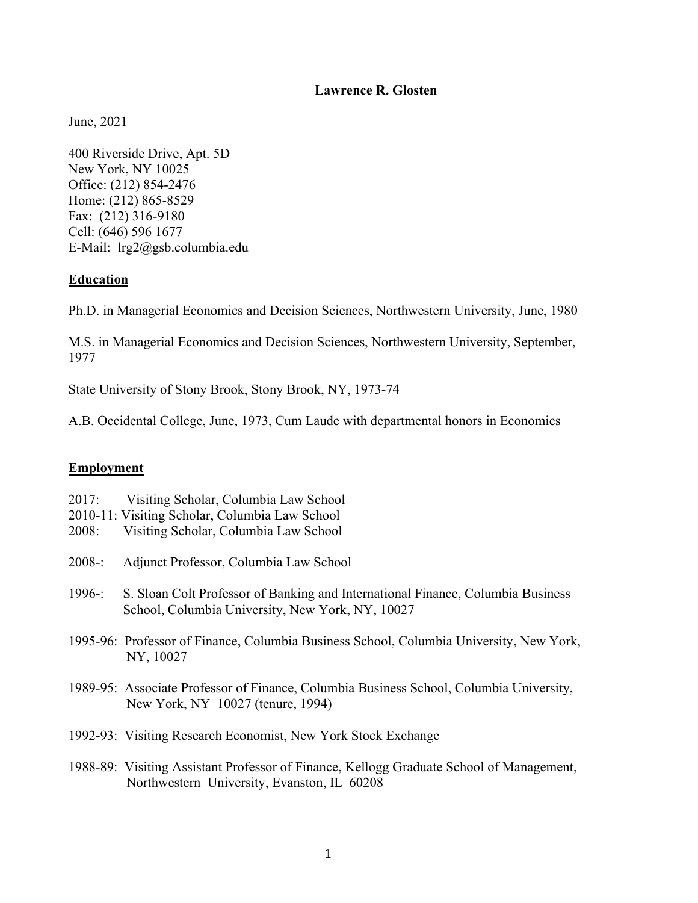### Lawrence R. Glosten

June, 2021

400 Riverside Drive, Apt. 5D New York, NY 10025 Office: (212) 854-2476 Home: (212) 865-8529 Fax: (212) 316-9180 Cell: (646) 596 1677 E-Mail: lrg2@gsb.columbia.edu

### Education

Ph.D. in Managerial Economics and Decision Sciences, Northwestern University, June, 1980

M.S. in Managerial Economics and Decision Sciences, Northwestern University, September, 1977

State University of Stony Brook, Stony Brook, NY, 1973-74

A.B. Occidental College, June, 1973, Cum Laude with departmental honors in Economics

### Employment

- 2017: Visiting Scholar, Columbia Law School
- 2010-11: Visiting Scholar, Columbia Law School
- 2008: Visiting Scholar, Columbia Law School
- 2008-: Adjunct Professor, Columbia Law School
- 1996-: S. Sloan Colt Professor of Banking and International Finance, Columbia Business School, Columbia University, New York, NY, 10027
- 1995-96: Professor of Finance, Columbia Business School, Columbia University, New York, NY, 10027
- 1989-95: Associate Professor of Finance, Columbia Business School, Columbia University, New York, NY 10027 (tenure, 1994)
- 1992-93: Visiting Research Economist, New York Stock Exchange
- 1988-89: Visiting Assistant Professor of Finance, Kellogg Graduate School of Management, Northwestern University, Evanston, IL 60208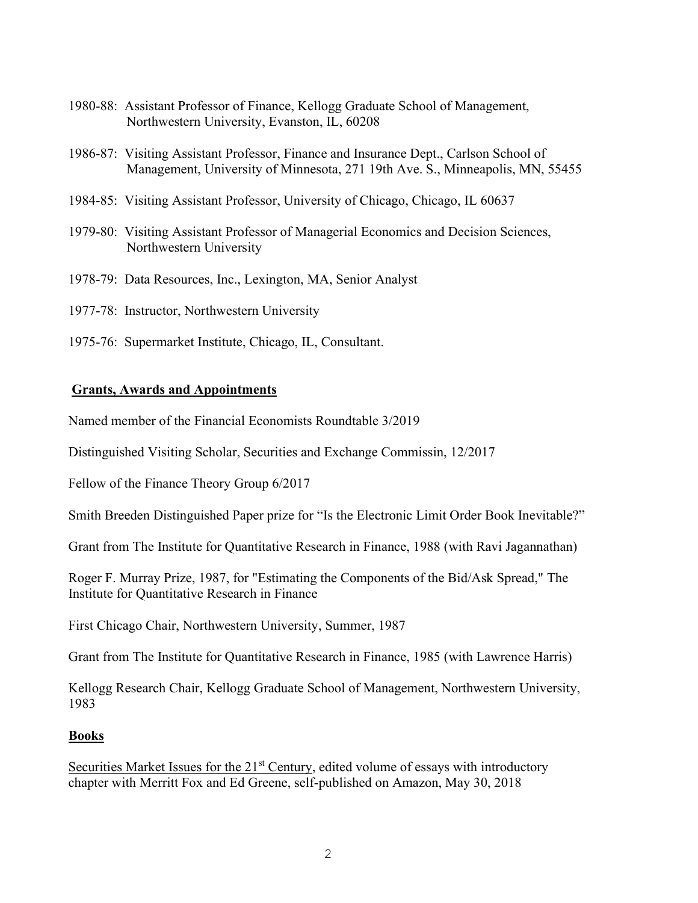- 1980-88: Assistant Professor of Finance, Kellogg Graduate School of Management, Northwestern University, Evanston, IL, 60208
- 1986-87: Visiting Assistant Professor, Finance and Insurance Dept., Carlson School of Management, University of Minnesota, 271 19th Ave. S., Minneapolis, MN, 55455
- 1984-85: Visiting Assistant Professor, University of Chicago, Chicago, IL 60637
- 1979-80: Visiting Assistant Professor of Managerial Economics and Decision Sciences, Northwestern University
- 1978-79: Data Resources, Inc., Lexington, MA, Senior Analyst
- 1977-78: Instructor, Northwestern University
- 1975-76: Supermarket Institute, Chicago, IL, Consultant.

### Grants, Awards and Appointments

Named member of the Financial Economists Roundtable 3/2019

Distinguished Visiting Scholar, Securities and Exchange Commissin, 12/2017

Fellow of the Finance Theory Group 6/2017

Smith Breeden Distinguished Paper prize for "Is the Electronic Limit Order Book Inevitable?"

Grant from The Institute for Quantitative Research in Finance, 1988 (with Ravi Jagannathan)

Roger F. Murray Prize, 1987, for "Estimating the Components of the Bid/Ask Spread," The Institute for Quantitative Research in Finance

First Chicago Chair, Northwestern University, Summer, 1987

Grant from The Institute for Quantitative Research in Finance, 1985 (with Lawrence Harris)

Kellogg Research Chair, Kellogg Graduate School of Management, Northwestern University, 1983

### Books

Securities Market Issues for the  $21<sup>st</sup>$  Century, edited volume of essays with introductory chapter with Merritt Fox and Ed Greene, self-published on Amazon, May 30, 2018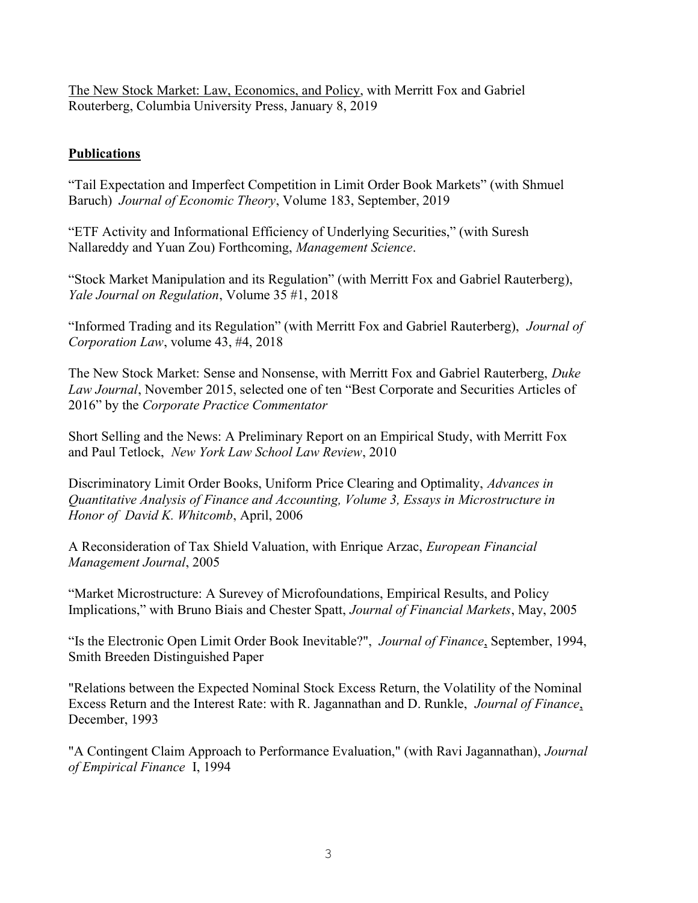The New Stock Market: Law, Economics, and Policy, with Merritt Fox and Gabriel Routerberg, Columbia University Press, January 8, 2019

# Publications

"Tail Expectation and Imperfect Competition in Limit Order Book Markets" (with Shmuel Baruch) Journal of Economic Theory, Volume 183, September, 2019

"ETF Activity and Informational Efficiency of Underlying Securities," (with Suresh Nallareddy and Yuan Zou) Forthcoming, Management Science.

"Stock Market Manipulation and its Regulation" (with Merritt Fox and Gabriel Rauterberg), Yale Journal on Regulation, Volume 35 #1, 2018

"Informed Trading and its Regulation" (with Merritt Fox and Gabriel Rauterberg), Journal of Corporation Law, volume 43, #4, 2018

The New Stock Market: Sense and Nonsense, with Merritt Fox and Gabriel Rauterberg, Duke Law Journal, November 2015, selected one of ten "Best Corporate and Securities Articles of 2016" by the Corporate Practice Commentator

Short Selling and the News: A Preliminary Report on an Empirical Study, with Merritt Fox and Paul Tetlock, New York Law School Law Review, 2010

Discriminatory Limit Order Books, Uniform Price Clearing and Optimality, Advances in Quantitative Analysis of Finance and Accounting, Volume 3, Essays in Microstructure in Honor of David K. Whitcomb, April, 2006

A Reconsideration of Tax Shield Valuation, with Enrique Arzac, European Financial Management Journal, 2005

"Market Microstructure: A Surevey of Microfoundations, Empirical Results, and Policy Implications," with Bruno Biais and Chester Spatt, Journal of Financial Markets, May, 2005

"Is the Electronic Open Limit Order Book Inevitable?", Journal of Finance, September, 1994, Smith Breeden Distinguished Paper

"Relations between the Expected Nominal Stock Excess Return, the Volatility of the Nominal Excess Return and the Interest Rate: with R. Jagannathan and D. Runkle, Journal of Finance, December, 1993

"A Contingent Claim Approach to Performance Evaluation," (with Ravi Jagannathan), Journal of Empirical Finance I, 1994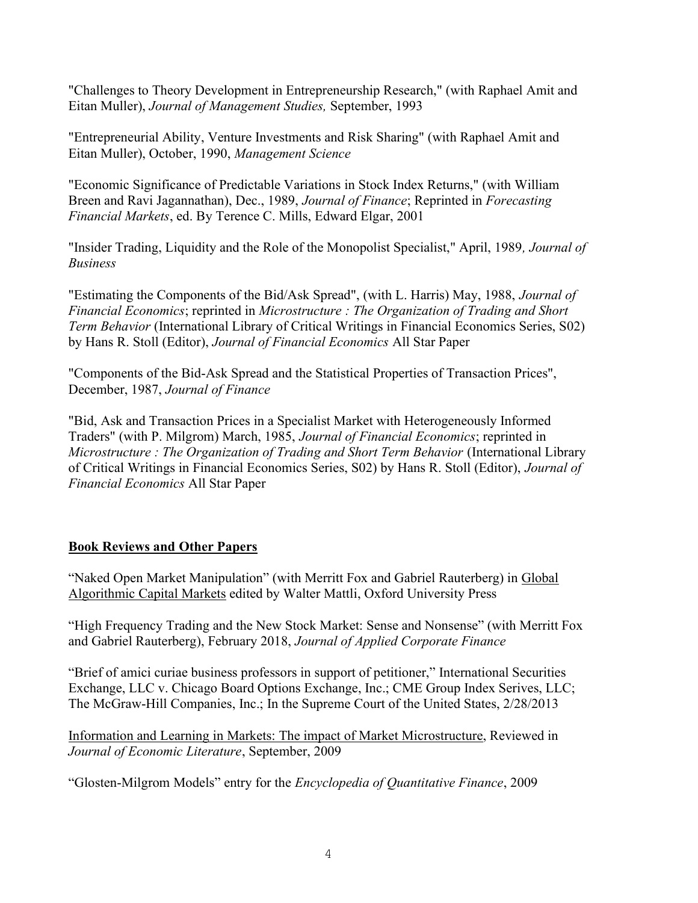"Challenges to Theory Development in Entrepreneurship Research," (with Raphael Amit and Eitan Muller), Journal of Management Studies, September, 1993

"Entrepreneurial Ability, Venture Investments and Risk Sharing" (with Raphael Amit and Eitan Muller), October, 1990, Management Science

"Economic Significance of Predictable Variations in Stock Index Returns," (with William Breen and Ravi Jagannathan), Dec., 1989, Journal of Finance; Reprinted in Forecasting Financial Markets, ed. By Terence C. Mills, Edward Elgar, 2001

"Insider Trading, Liquidity and the Role of the Monopolist Specialist," April, 1989, Journal of Business

"Estimating the Components of the Bid/Ask Spread", (with L. Harris) May, 1988, Journal of Financial Economics; reprinted in Microstructure : The Organization of Trading and Short Term Behavior (International Library of Critical Writings in Financial Economics Series, S02) by Hans R. Stoll (Editor), Journal of Financial Economics All Star Paper

"Components of the Bid-Ask Spread and the Statistical Properties of Transaction Prices", December, 1987, Journal of Finance

"Bid, Ask and Transaction Prices in a Specialist Market with Heterogeneously Informed Traders" (with P. Milgrom) March, 1985, Journal of Financial Economics; reprinted in Microstructure : The Organization of Trading and Short Term Behavior (International Library of Critical Writings in Financial Economics Series, S02) by Hans R. Stoll (Editor), Journal of Financial Economics All Star Paper

# Book Reviews and Other Papers

"Naked Open Market Manipulation" (with Merritt Fox and Gabriel Rauterberg) in Global Algorithmic Capital Markets edited by Walter Mattli, Oxford University Press

"High Frequency Trading and the New Stock Market: Sense and Nonsense" (with Merritt Fox and Gabriel Rauterberg), February 2018, Journal of Applied Corporate Finance

"Brief of amici curiae business professors in support of petitioner," International Securities Exchange, LLC v. Chicago Board Options Exchange, Inc.; CME Group Index Serives, LLC; The McGraw-Hill Companies, Inc.; In the Supreme Court of the United States, 2/28/2013

Information and Learning in Markets: The impact of Market Microstructure, Reviewed in Journal of Economic Literature, September, 2009

"Glosten-Milgrom Models" entry for the Encyclopedia of Quantitative Finance, 2009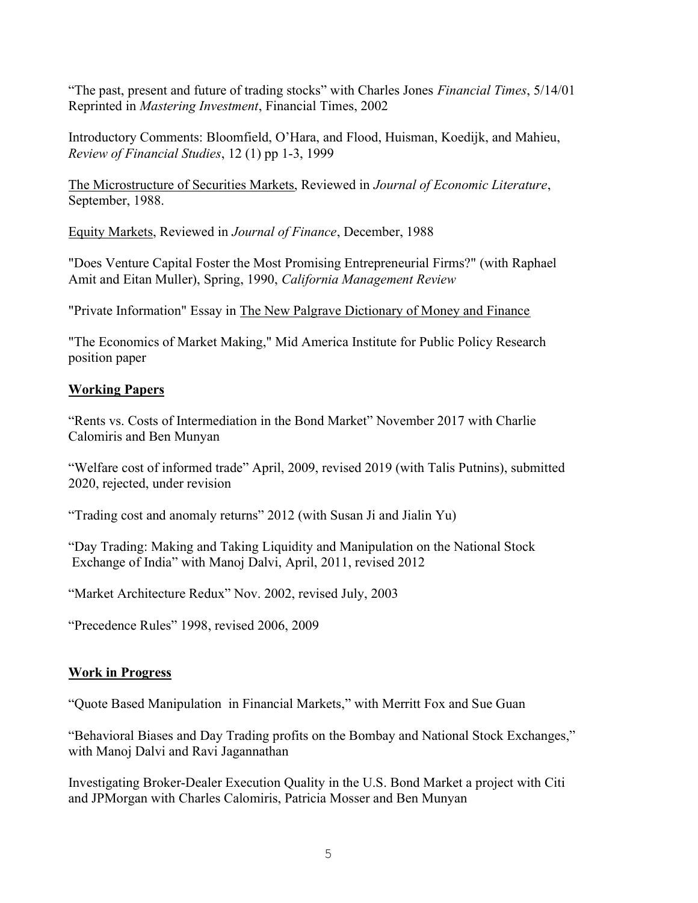"The past, present and future of trading stocks" with Charles Jones Financial Times, 5/14/01 Reprinted in Mastering Investment, Financial Times, 2002

Introductory Comments: Bloomfield, O'Hara, and Flood, Huisman, Koedijk, and Mahieu, Review of Financial Studies, 12 (1) pp 1-3, 1999

The Microstructure of Securities Markets, Reviewed in Journal of Economic Literature, September, 1988.

Equity Markets, Reviewed in Journal of Finance, December, 1988

"Does Venture Capital Foster the Most Promising Entrepreneurial Firms?" (with Raphael Amit and Eitan Muller), Spring, 1990, California Management Review

"Private Information" Essay in The New Palgrave Dictionary of Money and Finance

"The Economics of Market Making," Mid America Institute for Public Policy Research position paper

# Working Papers

"Rents vs. Costs of Intermediation in the Bond Market" November 2017 with Charlie Calomiris and Ben Munyan

"Welfare cost of informed trade" April, 2009, revised 2019 (with Talis Putnins), submitted 2020, rejected, under revision

"Trading cost and anomaly returns" 2012 (with Susan Ji and Jialin Yu)

"Day Trading: Making and Taking Liquidity and Manipulation on the National Stock Exchange of India" with Manoj Dalvi, April, 2011, revised 2012

"Market Architecture Redux" Nov. 2002, revised July, 2003

"Precedence Rules" 1998, revised 2006, 2009

# Work in Progress

"Quote Based Manipulation in Financial Markets," with Merritt Fox and Sue Guan

"Behavioral Biases and Day Trading profits on the Bombay and National Stock Exchanges," with Manoj Dalvi and Ravi Jagannathan

Investigating Broker-Dealer Execution Quality in the U.S. Bond Market a project with Citi and JPMorgan with Charles Calomiris, Patricia Mosser and Ben Munyan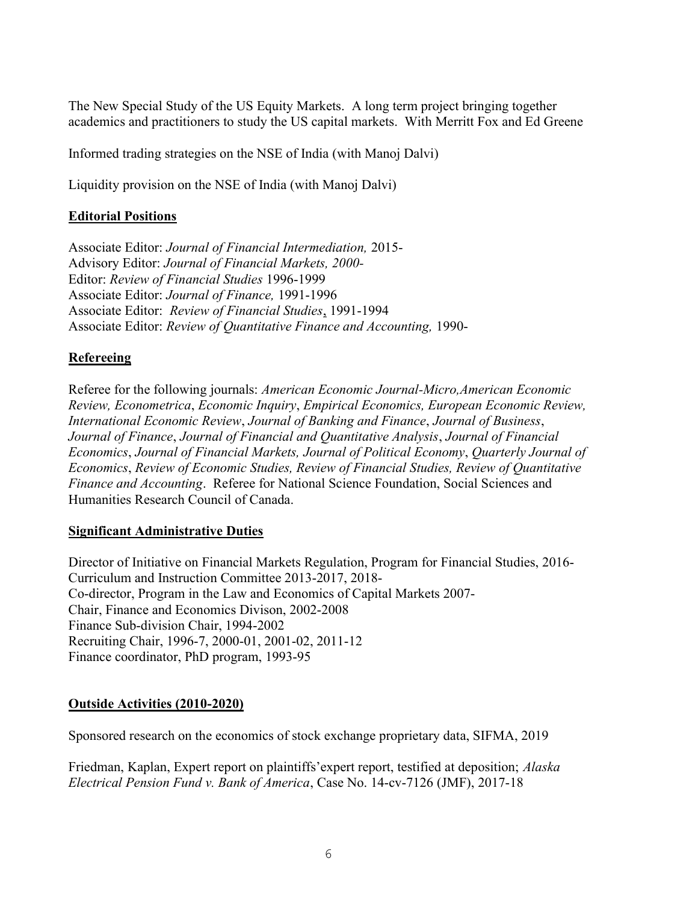The New Special Study of the US Equity Markets. A long term project bringing together academics and practitioners to study the US capital markets. With Merritt Fox and Ed Greene

Informed trading strategies on the NSE of India (with Manoj Dalvi)

Liquidity provision on the NSE of India (with Manoj Dalvi)

## Editorial Positions

Associate Editor: Journal of Financial Intermediation, 2015- Advisory Editor: Journal of Financial Markets, 2000- Editor: Review of Financial Studies 1996-1999 Associate Editor: Journal of Finance, 1991-1996 Associate Editor: Review of Financial Studies, 1991-1994 Associate Editor: Review of Quantitative Finance and Accounting, 1990-

### Refereeing

Referee for the following journals: American Economic Journal-Micro,American Economic Review, Econometrica, Economic Inquiry, Empirical Economics, European Economic Review, International Economic Review, Journal of Banking and Finance, Journal of Business, Journal of Finance, Journal of Financial and Quantitative Analysis, Journal of Financial Economics, Journal of Financial Markets, Journal of Political Economy, Quarterly Journal of Economics, Review of Economic Studies, Review of Financial Studies, Review of Quantitative Finance and Accounting. Referee for National Science Foundation, Social Sciences and Humanities Research Council of Canada.

### Significant Administrative Duties

Director of Initiative on Financial Markets Regulation, Program for Financial Studies, 2016- Curriculum and Instruction Committee 2013-2017, 2018- Co-director, Program in the Law and Economics of Capital Markets 2007- Chair, Finance and Economics Divison, 2002-2008 Finance Sub-division Chair, 1994-2002 Recruiting Chair, 1996-7, 2000-01, 2001-02, 2011-12 Finance coordinator, PhD program, 1993-95

### Outside Activities (2010-2020)

Sponsored research on the economics of stock exchange proprietary data, SIFMA, 2019

Friedman, Kaplan, Expert report on plaintiffs'expert report, testified at deposition; Alaska Electrical Pension Fund v. Bank of America, Case No. 14-cv-7126 (JMF), 2017-18